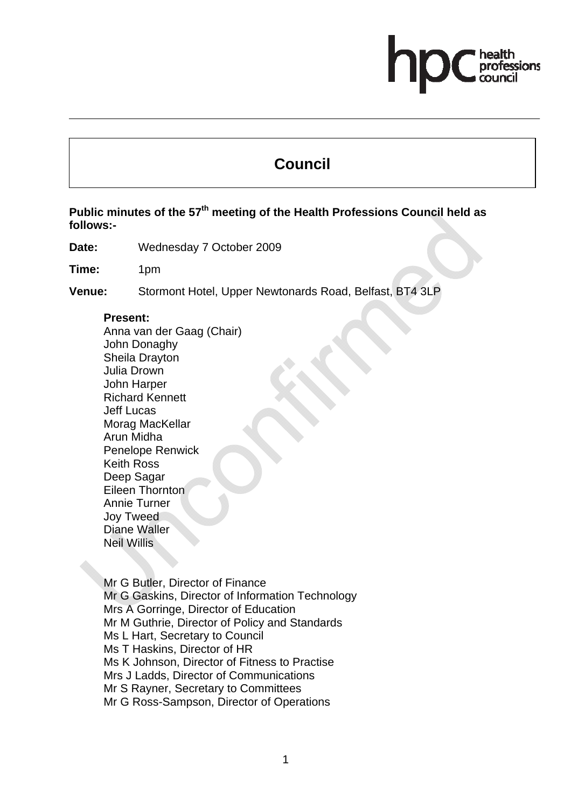# essions

# **Council**

Public minutes of the 57<sup>th</sup> meeting of the Health Professions Council held as **follows:-** 

**Date:** Wednesday 7 October 2009

**Time:** 1pm

**Venue:** Stormont Hotel, Upper Newtonards Road, Belfast, BT4 3LP

#### **Present:**

Anna van der Gaag (Chair) John Donaghy Sheila Drayton Julia Drown John Harper Richard Kennett Jeff Lucas Morag MacKellar Arun Midha Penelope Renwick Keith Ross Deep Sagar Eileen Thornton Annie Turner Joy Tweed Diane Waller Neil Willis

Mr G Butler, Director of Finance Mr G Gaskins, Director of Information Technology Mrs A Gorringe, Director of Education Mr M Guthrie, Director of Policy and Standards Ms L Hart, Secretary to Council Ms T Haskins, Director of HR Ms K Johnson, Director of Fitness to Practise Mrs J Ladds, Director of Communications Mr S Rayner, Secretary to Committees Mr G Ross-Sampson, Director of Operations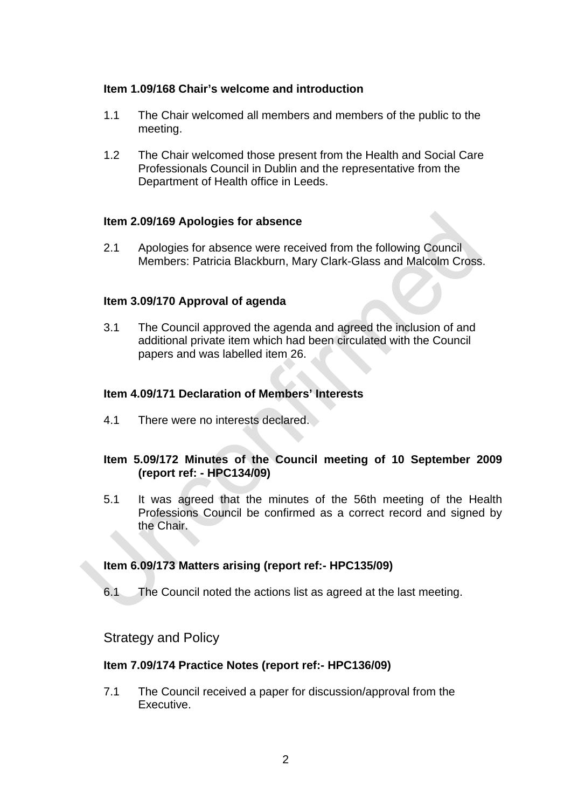#### **Item 1.09/168 Chair's welcome and introduction**

- 1.1 The Chair welcomed all members and members of the public to the meeting.
- 1.2 The Chair welcomed those present from the Health and Social Care Professionals Council in Dublin and the representative from the Department of Health office in Leeds.

#### **Item 2.09/169 Apologies for absence**

2.1 Apologies for absence were received from the following Council Members: Patricia Blackburn, Mary Clark-Glass and Malcolm Cross.

#### **Item 3.09/170 Approval of agenda**

3.1 The Council approved the agenda and agreed the inclusion of and additional private item which had been circulated with the Council papers and was labelled item 26.

#### **Item 4.09/171 Declaration of Members' Interests**

4.1 There were no interests declared.

# **Item 5.09/172 Minutes of the Council meeting of 10 September 2009 (report ref: - HPC134/09)**

5.1 It was agreed that the minutes of the 56th meeting of the Health Professions Council be confirmed as a correct record and signed by the Chair.

#### **Item 6.09/173 Matters arising (report ref:- HPC135/09)**

6.1 The Council noted the actions list as agreed at the last meeting.

# Strategy and Policy

#### **Item 7.09/174 Practice Notes (report ref:- HPC136/09)**

7.1 The Council received a paper for discussion/approval from the Executive.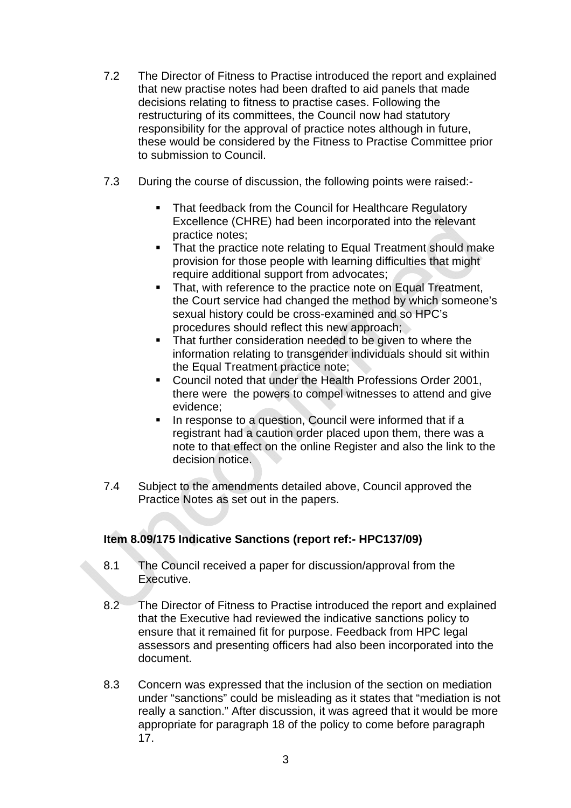- 7.2 The Director of Fitness to Practise introduced the report and explained that new practise notes had been drafted to aid panels that made decisions relating to fitness to practise cases. Following the restructuring of its committees, the Council now had statutory responsibility for the approval of practice notes although in future, these would be considered by the Fitness to Practise Committee prior to submission to Council.
- 7.3 During the course of discussion, the following points were raised:-
	- That feedback from the Council for Healthcare Regulatory Excellence (CHRE) had been incorporated into the relevant practice notes;
	- That the practice note relating to Equal Treatment should make provision for those people with learning difficulties that might require additional support from advocates;
	- That, with reference to the practice note on Equal Treatment, the Court service had changed the method by which someone's sexual history could be cross-examined and so HPC's procedures should reflect this new approach;
	- That further consideration needed to be given to where the information relating to transgender individuals should sit within the Equal Treatment practice note;
	- Council noted that under the Health Professions Order 2001, there were the powers to compel witnesses to attend and give evidence;
	- **IF** In response to a question, Council were informed that if a registrant had a caution order placed upon them, there was a note to that effect on the online Register and also the link to the decision notice.
- 7.4 Subject to the amendments detailed above, Council approved the Practice Notes as set out in the papers.

# **Item 8.09/175 Indicative Sanctions (report ref:- HPC137/09)**

- 8.1 The Council received a paper for discussion/approval from the Executive.
- 8.2 The Director of Fitness to Practise introduced the report and explained that the Executive had reviewed the indicative sanctions policy to ensure that it remained fit for purpose. Feedback from HPC legal assessors and presenting officers had also been incorporated into the document.
- 8.3 Concern was expressed that the inclusion of the section on mediation under "sanctions" could be misleading as it states that "mediation is not really a sanction." After discussion, it was agreed that it would be more appropriate for paragraph 18 of the policy to come before paragraph 17.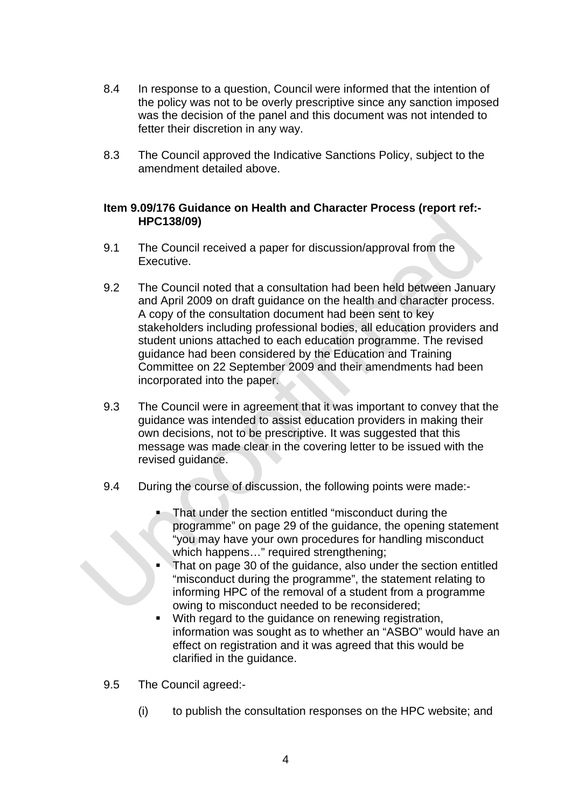- 8.4 In response to a question, Council were informed that the intention of the policy was not to be overly prescriptive since any sanction imposed was the decision of the panel and this document was not intended to fetter their discretion in any way.
- 8.3 The Council approved the Indicative Sanctions Policy, subject to the amendment detailed above.

#### **Item 9.09/176 Guidance on Health and Character Process (report ref:- HPC138/09)**

- 9.1 The Council received a paper for discussion/approval from the Executive.
- 9.2 The Council noted that a consultation had been held between January and April 2009 on draft guidance on the health and character process. A copy of the consultation document had been sent to key stakeholders including professional bodies, all education providers and student unions attached to each education programme. The revised guidance had been considered by the Education and Training Committee on 22 September 2009 and their amendments had been incorporated into the paper.
- 9.3 The Council were in agreement that it was important to convey that the guidance was intended to assist education providers in making their own decisions, not to be prescriptive. It was suggested that this message was made clear in the covering letter to be issued with the revised guidance.
- 9.4 During the course of discussion, the following points were made:-
	- That under the section entitled "misconduct during the programme" on page 29 of the guidance, the opening statement "you may have your own procedures for handling misconduct which happens..." required strengthening:
	- That on page 30 of the guidance, also under the section entitled "misconduct during the programme", the statement relating to informing HPC of the removal of a student from a programme owing to misconduct needed to be reconsidered;
	- **With regard to the quidance on renewing registration.** information was sought as to whether an "ASBO" would have an effect on registration and it was agreed that this would be clarified in the guidance.
- 9.5 The Council agreed:-
	- (i) to publish the consultation responses on the HPC website; and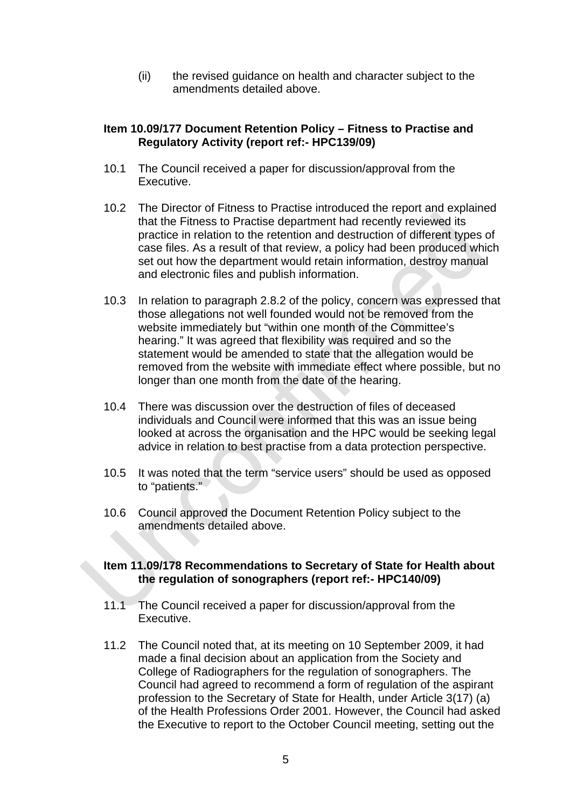(ii) the revised guidance on health and character subject to the amendments detailed above.

#### **Item 10.09/177 Document Retention Policy – Fitness to Practise and Regulatory Activity (report ref:- HPC139/09)**

- 10.1 The Council received a paper for discussion/approval from the Executive.
- 10.2 The Director of Fitness to Practise introduced the report and explained that the Fitness to Practise department had recently reviewed its practice in relation to the retention and destruction of different types of case files. As a result of that review, a policy had been produced which set out how the department would retain information, destroy manual and electronic files and publish information.
- 10.3 In relation to paragraph 2.8.2 of the policy, concern was expressed that those allegations not well founded would not be removed from the website immediately but "within one month of the Committee's hearing." It was agreed that flexibility was required and so the statement would be amended to state that the allegation would be removed from the website with immediate effect where possible, but no longer than one month from the date of the hearing.
- 10.4 There was discussion over the destruction of files of deceased individuals and Council were informed that this was an issue being looked at across the organisation and the HPC would be seeking legal advice in relation to best practise from a data protection perspective.
- 10.5 It was noted that the term "service users" should be used as opposed to "patients."
- 10.6 Council approved the Document Retention Policy subject to the amendments detailed above.

#### **Item 11.09/178 Recommendations to Secretary of State for Health about the regulation of sonographers (report ref:- HPC140/09)**

- 11.1 The Council received a paper for discussion/approval from the Executive.
- 11.2 The Council noted that, at its meeting on 10 September 2009, it had made a final decision about an application from the Society and College of Radiographers for the regulation of sonographers. The Council had agreed to recommend a form of regulation of the aspirant profession to the Secretary of State for Health, under Article 3(17) (a) of the Health Professions Order 2001. However, the Council had asked the Executive to report to the October Council meeting, setting out the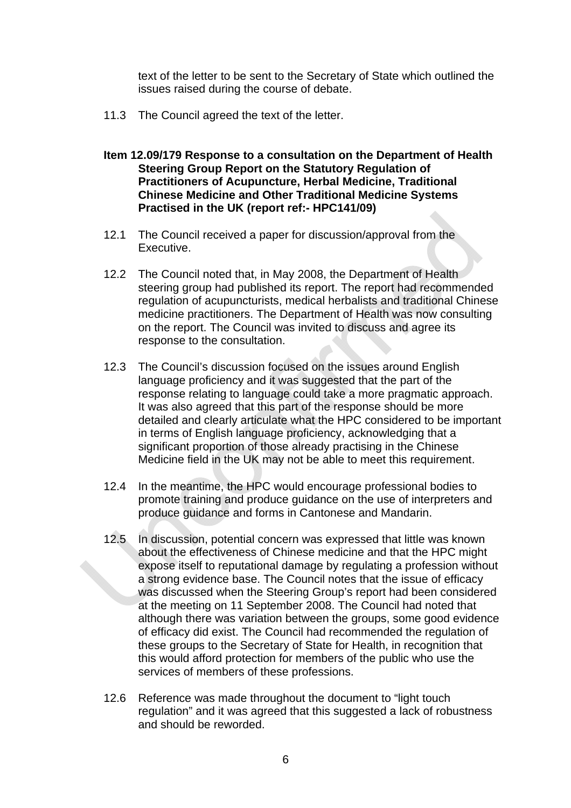text of the letter to be sent to the Secretary of State which outlined the issues raised during the course of debate.

- 11.3 The Council agreed the text of the letter.
- **Item 12.09/179 Response to a consultation on the Department of Health Steering Group Report on the Statutory Regulation of Practitioners of Acupuncture, Herbal Medicine, Traditional Chinese Medicine and Other Traditional Medicine Systems Practised in the UK (report ref:- HPC141/09)**
- 12.1 The Council received a paper for discussion/approval from the Executive.
- 12.2 The Council noted that, in May 2008, the Department of Health steering group had published its report. The report had recommended regulation of acupuncturists, medical herbalists and traditional Chinese medicine practitioners. The Department of Health was now consulting on the report. The Council was invited to discuss and agree its response to the consultation.
- 12.3 The Council's discussion focused on the issues around English language proficiency and it was suggested that the part of the response relating to language could take a more pragmatic approach. It was also agreed that this part of the response should be more detailed and clearly articulate what the HPC considered to be important in terms of English language proficiency, acknowledging that a significant proportion of those already practising in the Chinese Medicine field in the UK may not be able to meet this requirement.
- 12.4 In the meantime, the HPC would encourage professional bodies to promote training and produce guidance on the use of interpreters and produce guidance and forms in Cantonese and Mandarin.
- 12.5 In discussion, potential concern was expressed that little was known about the effectiveness of Chinese medicine and that the HPC might expose itself to reputational damage by regulating a profession without a strong evidence base. The Council notes that the issue of efficacy was discussed when the Steering Group's report had been considered at the meeting on 11 September 2008. The Council had noted that although there was variation between the groups, some good evidence of efficacy did exist. The Council had recommended the regulation of these groups to the Secretary of State for Health, in recognition that this would afford protection for members of the public who use the services of members of these professions.
- 12.6 Reference was made throughout the document to "light touch regulation" and it was agreed that this suggested a lack of robustness and should be reworded.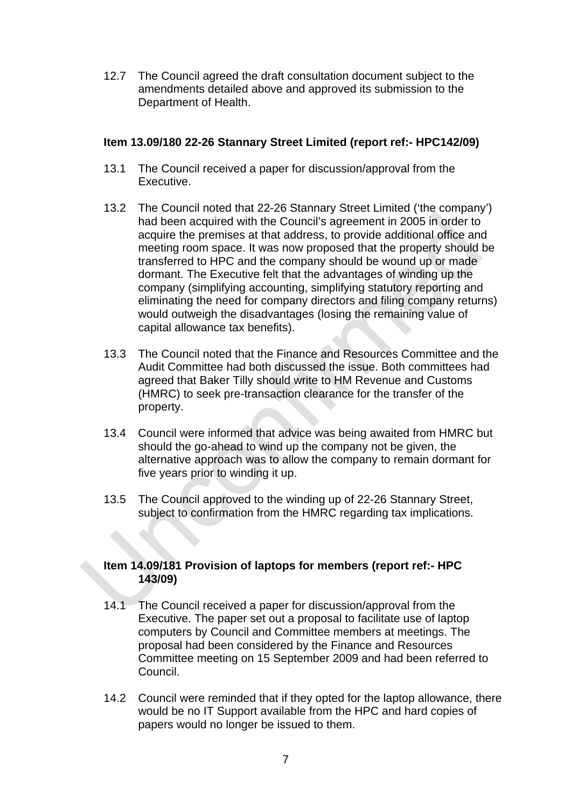12.7 The Council agreed the draft consultation document subject to the amendments detailed above and approved its submission to the Department of Health.

#### **Item 13.09/180 22-26 Stannary Street Limited (report ref:- HPC142/09)**

- 13.1 The Council received a paper for discussion/approval from the Executive.
- 13.2 The Council noted that 22-26 Stannary Street Limited ('the company') had been acquired with the Council's agreement in 2005 in order to acquire the premises at that address, to provide additional office and meeting room space. It was now proposed that the property should be transferred to HPC and the company should be wound up or made dormant. The Executive felt that the advantages of winding up the company (simplifying accounting, simplifying statutory reporting and eliminating the need for company directors and filing company returns) would outweigh the disadvantages (losing the remaining value of capital allowance tax benefits).
- 13.3 The Council noted that the Finance and Resources Committee and the Audit Committee had both discussed the issue. Both committees had agreed that Baker Tilly should write to HM Revenue and Customs (HMRC) to seek pre-transaction clearance for the transfer of the property.
- 13.4 Council were informed that advice was being awaited from HMRC but should the go-ahead to wind up the company not be given, the alternative approach was to allow the company to remain dormant for five years prior to winding it up.
- 13.5 The Council approved to the winding up of 22-26 Stannary Street, subject to confirmation from the HMRC regarding tax implications.

#### **Item 14.09/181 Provision of laptops for members (report ref:- HPC 143/09)**

- 14.1 The Council received a paper for discussion/approval from the Executive. The paper set out a proposal to facilitate use of laptop computers by Council and Committee members at meetings. The proposal had been considered by the Finance and Resources Committee meeting on 15 September 2009 and had been referred to Council.
- 14.2 Council were reminded that if they opted for the laptop allowance, there would be no IT Support available from the HPC and hard copies of papers would no longer be issued to them.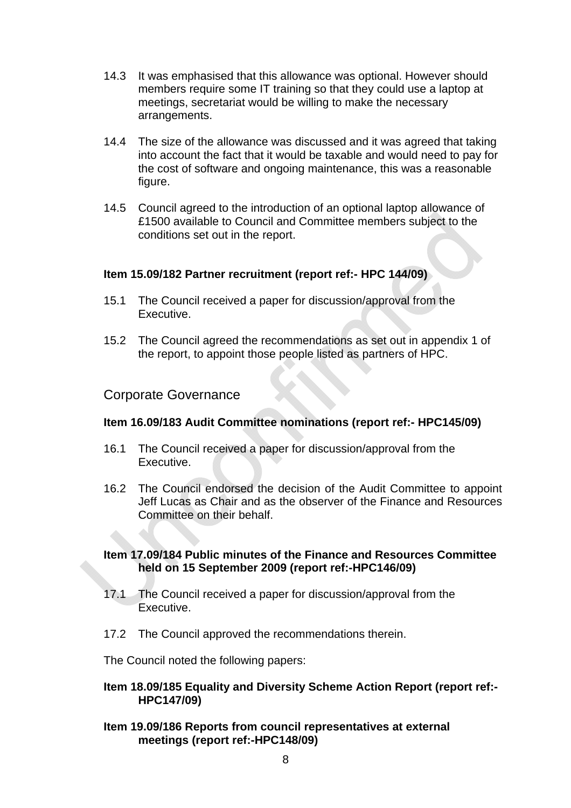- 14.3 It was emphasised that this allowance was optional. However should members require some IT training so that they could use a laptop at meetings, secretariat would be willing to make the necessary arrangements.
- 14.4 The size of the allowance was discussed and it was agreed that taking into account the fact that it would be taxable and would need to pay for the cost of software and ongoing maintenance, this was a reasonable figure.
- 14.5 Council agreed to the introduction of an optional laptop allowance of £1500 available to Council and Committee members subject to the conditions set out in the report.

#### **Item 15.09/182 Partner recruitment (report ref:- HPC 144/09)**

- 15.1 The Council received a paper for discussion/approval from the Executive.
- 15.2 The Council agreed the recommendations as set out in appendix 1 of the report, to appoint those people listed as partners of HPC.

#### Corporate Governance

#### **Item 16.09/183 Audit Committee nominations (report ref:- HPC145/09)**

- 16.1 The Council received a paper for discussion/approval from the Executive.
- 16.2 The Council endorsed the decision of the Audit Committee to appoint Jeff Lucas as Chair and as the observer of the Finance and Resources Committee on their behalf.

#### **Item 17.09/184 Public minutes of the Finance and Resources Committee held on 15 September 2009 (report ref:-HPC146/09)**

- 17.1 The Council received a paper for discussion/approval from the Executive.
- 17.2 The Council approved the recommendations therein.

The Council noted the following papers:

#### **Item 18.09/185 Equality and Diversity Scheme Action Report (report ref:- HPC147/09)**

**Item 19.09/186 Reports from council representatives at external meetings (report ref:-HPC148/09)**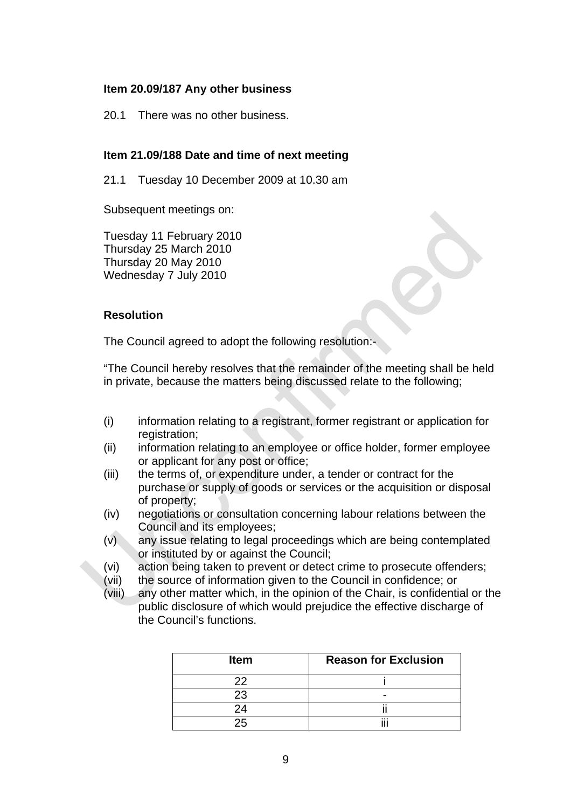#### **Item 20.09/187 Any other business**

20.1 There was no other business.

#### **Item 21.09/188 Date and time of next meeting**

21.1 Tuesday 10 December 2009 at 10.30 am

Subsequent meetings on:

Tuesday 11 February 2010 Thursday 25 March 2010 Thursday 20 May 2010 Wednesday 7 July 2010

#### **Resolution**

The Council agreed to adopt the following resolution:-

"The Council hereby resolves that the remainder of the meeting shall be held in private, because the matters being discussed relate to the following;

- (i) information relating to a registrant, former registrant or application for registration;
- (ii) information relating to an employee or office holder, former employee or applicant for any post or office;
- (iii) the terms of, or expenditure under, a tender or contract for the purchase or supply of goods or services or the acquisition or disposal of property;
- (iv) negotiations or consultation concerning labour relations between the Council and its employees;
- (v) any issue relating to legal proceedings which are being contemplated or instituted by or against the Council;
- (vi) action being taken to prevent or detect crime to prosecute offenders;
- (vii) the source of information given to the Council in confidence; or
- (viii) any other matter which, in the opinion of the Chair, is confidential or the public disclosure of which would prejudice the effective discharge of the Council's functions.

| <b>Item</b> | <b>Reason for Exclusion</b> |
|-------------|-----------------------------|
| フフ          |                             |
| 23          |                             |
|             | $\cdots$                    |
|             |                             |